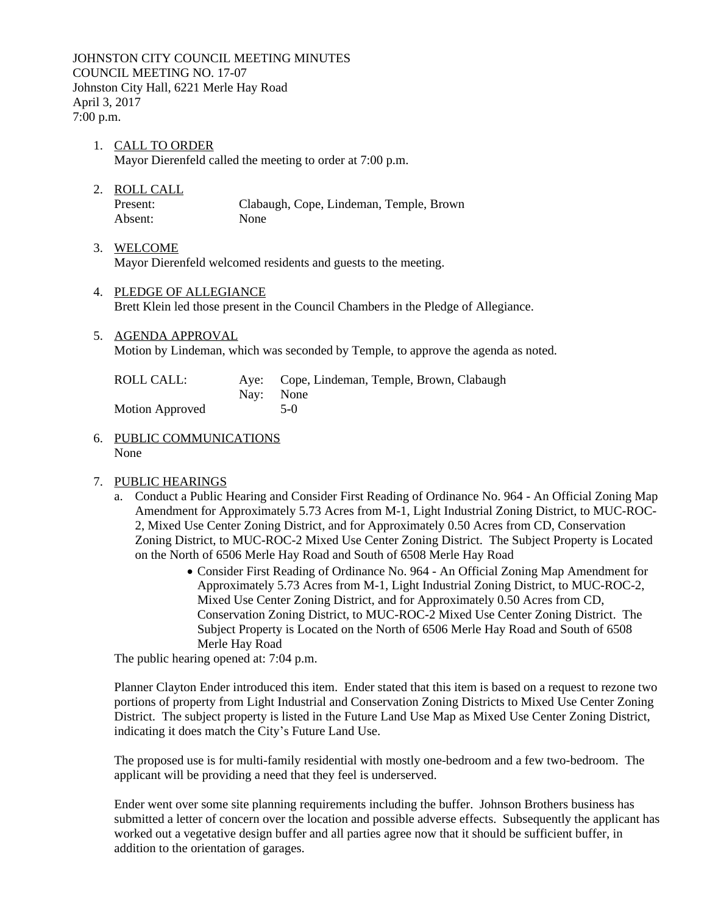JOHNSTON CITY COUNCIL MEETING MINUTES COUNCIL MEETING NO. 17-07 Johnston City Hall, 6221 Merle Hay Road April 3, 2017 7:00 p.m.

- 1. CALL TO ORDER Mayor Dierenfeld called the meeting to order at 7:00 p.m.
- 2. ROLL CALL

Present: Clabaugh, Cope, Lindeman, Temple, Brown Absent: None

- 3. WELCOME Mayor Dierenfeld welcomed residents and guests to the meeting.
- 4. PLEDGE OF ALLEGIANCE Brett Klein led those present in the Council Chambers in the Pledge of Allegiance.
- 5. AGENDA APPROVAL Motion by Lindeman, which was seconded by Temple, to approve the agenda as noted.

| ROLL CALL:             | Aye: Cope, Lindeman, Temple, Brown, Clabaugh |
|------------------------|----------------------------------------------|
|                        | Nav: None                                    |
| <b>Motion Approved</b> | $5-0$                                        |

6. PUBLIC COMMUNICATIONS None

# 7. PUBLIC HEARINGS

- a. Conduct a Public Hearing and Consider First Reading of Ordinance No. 964 An Official Zoning Map Amendment for Approximately 5.73 Acres from M-1, Light Industrial Zoning District, to MUC-ROC-2, Mixed Use Center Zoning District, and for Approximately 0.50 Acres from CD, Conservation Zoning District, to MUC-ROC-2 Mixed Use Center Zoning District. The Subject Property is Located on the North of 6506 Merle Hay Road and South of 6508 Merle Hay Road
	- Consider First Reading of Ordinance No. 964 An Official Zoning Map Amendment for Approximately 5.73 Acres from M-1, Light Industrial Zoning District, to MUC-ROC-2, Mixed Use Center Zoning District, and for Approximately 0.50 Acres from CD, Conservation Zoning District, to MUC-ROC-2 Mixed Use Center Zoning District. The Subject Property is Located on the North of 6506 Merle Hay Road and South of 6508 Merle Hay Road

The public hearing opened at: 7:04 p.m.

Planner Clayton Ender introduced this item. Ender stated that this item is based on a request to rezone two portions of property from Light Industrial and Conservation Zoning Districts to Mixed Use Center Zoning District. The subject property is listed in the Future Land Use Map as Mixed Use Center Zoning District, indicating it does match the City's Future Land Use.

The proposed use is for multi-family residential with mostly one-bedroom and a few two-bedroom. The applicant will be providing a need that they feel is underserved.

Ender went over some site planning requirements including the buffer. Johnson Brothers business has submitted a letter of concern over the location and possible adverse effects. Subsequently the applicant has worked out a vegetative design buffer and all parties agree now that it should be sufficient buffer, in addition to the orientation of garages.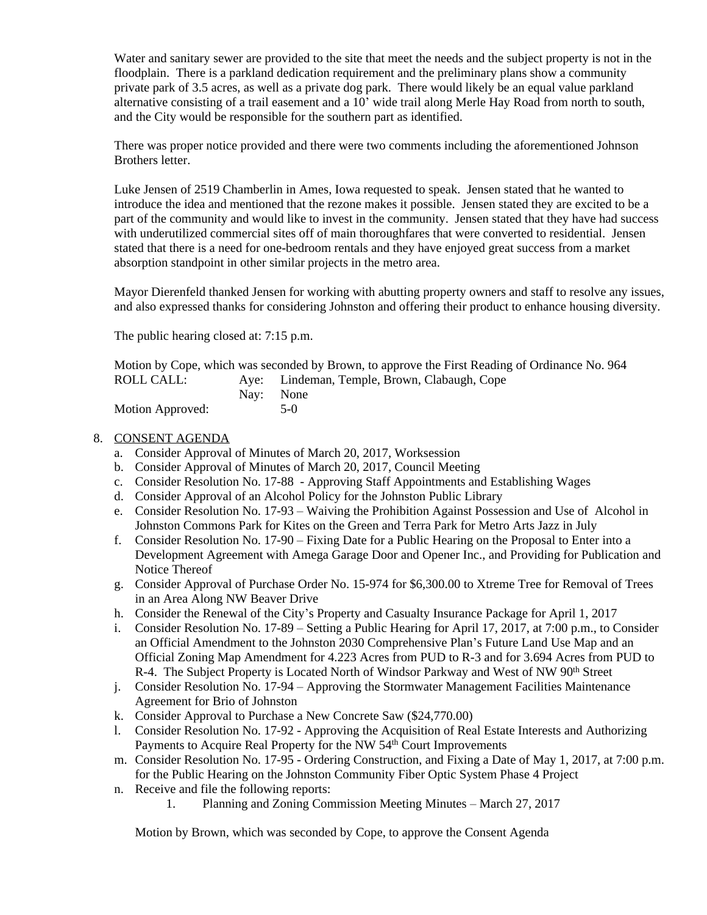Water and sanitary sewer are provided to the site that meet the needs and the subject property is not in the floodplain. There is a parkland dedication requirement and the preliminary plans show a community private park of 3.5 acres, as well as a private dog park. There would likely be an equal value parkland alternative consisting of a trail easement and a 10' wide trail along Merle Hay Road from north to south, and the City would be responsible for the southern part as identified.

There was proper notice provided and there were two comments including the aforementioned Johnson Brothers letter.

Luke Jensen of 2519 Chamberlin in Ames, Iowa requested to speak. Jensen stated that he wanted to introduce the idea and mentioned that the rezone makes it possible. Jensen stated they are excited to be a part of the community and would like to invest in the community. Jensen stated that they have had success with underutilized commercial sites off of main thoroughfares that were converted to residential. Jensen stated that there is a need for one-bedroom rentals and they have enjoyed great success from a market absorption standpoint in other similar projects in the metro area.

Mayor Dierenfeld thanked Jensen for working with abutting property owners and staff to resolve any issues, and also expressed thanks for considering Johnston and offering their product to enhance housing diversity.

The public hearing closed at: 7:15 p.m.

Motion by Cope, which was seconded by Brown, to approve the First Reading of Ordinance No. 964 ROLL CALL: Aye: Lindeman, Temple, Brown, Clabaugh, Cope

|                  | Nay: None |
|------------------|-----------|
| Motion Approved: | $5-0$     |

## 8. CONSENT AGENDA

- a. Consider Approval of Minutes of March 20, 2017, Worksession
- b. Consider Approval of Minutes of March 20, 2017, Council Meeting
- c. Consider Resolution No. 17-88 Approving Staff Appointments and Establishing Wages
- d. Consider Approval of an Alcohol Policy for the Johnston Public Library
- e. Consider Resolution No. 17-93 Waiving the Prohibition Against Possession and Use of Alcohol in Johnston Commons Park for Kites on the Green and Terra Park for Metro Arts Jazz in July
- f. Consider Resolution No. 17-90 Fixing Date for a Public Hearing on the Proposal to Enter into a Development Agreement with Amega Garage Door and Opener Inc., and Providing for Publication and Notice Thereof
- g. Consider Approval of Purchase Order No. 15-974 for \$6,300.00 to Xtreme Tree for Removal of Trees in an Area Along NW Beaver Drive
- h. Consider the Renewal of the City's Property and Casualty Insurance Package for April 1, 2017
- i. Consider Resolution No. 17-89 Setting a Public Hearing for April 17, 2017, at 7:00 p.m., to Consider an Official Amendment to the Johnston 2030 Comprehensive Plan's Future Land Use Map and an Official Zoning Map Amendment for 4.223 Acres from PUD to R-3 and for 3.694 Acres from PUD to R-4. The Subject Property is Located North of Windsor Parkway and West of NW 90<sup>th</sup> Street
- j. Consider Resolution No. 17-94 Approving the Stormwater Management Facilities Maintenance Agreement for Brio of Johnston
- k. Consider Approval to Purchase a New Concrete Saw (\$24,770.00)
- l. Consider Resolution No. 17-92 Approving the Acquisition of Real Estate Interests and Authorizing Payments to Acquire Real Property for the NW 54<sup>th</sup> Court Improvements
- m. Consider Resolution No. 17-95 Ordering Construction, and Fixing a Date of May 1, 2017, at 7:00 p.m. for the Public Hearing on the Johnston Community Fiber Optic System Phase 4 Project
- n. Receive and file the following reports:
	- 1. Planning and Zoning Commission Meeting Minutes March 27, 2017

Motion by Brown, which was seconded by Cope, to approve the Consent Agenda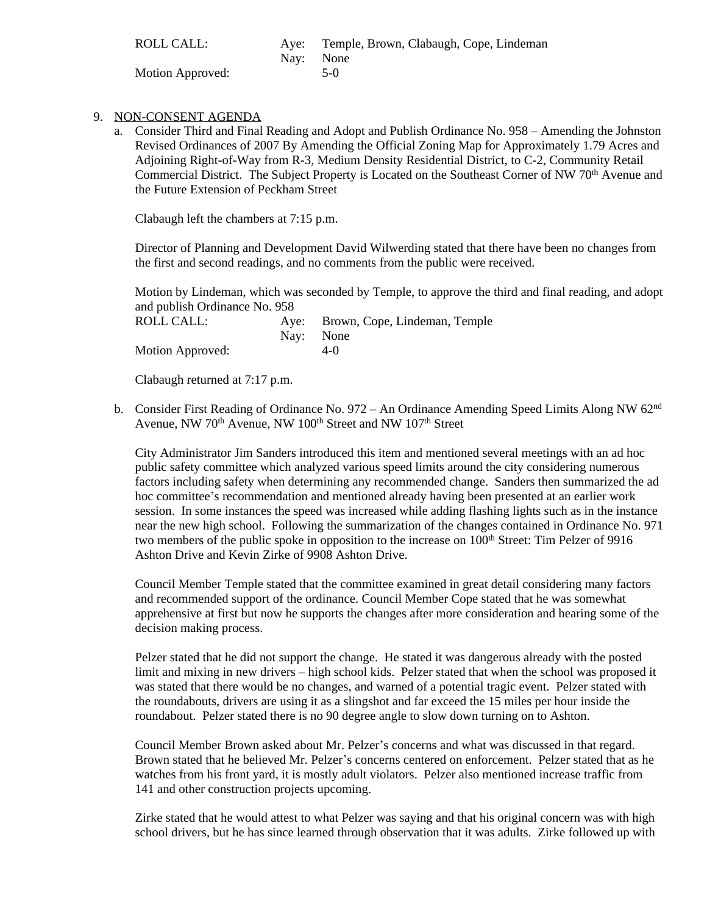| ROLL CALL:       | Nav: None | Aye: Temple, Brown, Clabaugh, Cope, Lindeman |
|------------------|-----------|----------------------------------------------|
| Motion Approved: |           | $5-0$                                        |

- 9. NON-CONSENT AGENDA
	- a. Consider Third and Final Reading and Adopt and Publish Ordinance No. 958 Amending the Johnston Revised Ordinances of 2007 By Amending the Official Zoning Map for Approximately 1.79 Acres and Adjoining Right-of-Way from R-3, Medium Density Residential District, to C-2, Community Retail Commercial District. The Subject Property is Located on the Southeast Corner of NW 70<sup>th</sup> Avenue and the Future Extension of Peckham Street

Clabaugh left the chambers at 7:15 p.m.

Director of Planning and Development David Wilwerding stated that there have been no changes from the first and second readings, and no comments from the public were received.

Motion by Lindeman, which was seconded by Temple, to approve the third and final reading, and adopt and publish Ordinance No. 958

| ROLL CALL:       | Aye: Brown, Cope, Lindeman, Temple |
|------------------|------------------------------------|
|                  | Nav: None                          |
| Motion Approved: | $4-0$                              |

Clabaugh returned at 7:17 p.m.

b. Consider First Reading of Ordinance No. 972 – An Ordinance Amending Speed Limits Along NW 62nd Avenue, NW 70<sup>th</sup> Avenue, NW 100<sup>th</sup> Street and NW 107<sup>th</sup> Street

City Administrator Jim Sanders introduced this item and mentioned several meetings with an ad hoc public safety committee which analyzed various speed limits around the city considering numerous factors including safety when determining any recommended change. Sanders then summarized the ad hoc committee's recommendation and mentioned already having been presented at an earlier work session. In some instances the speed was increased while adding flashing lights such as in the instance near the new high school. Following the summarization of the changes contained in Ordinance No. 971 two members of the public spoke in opposition to the increase on 100<sup>th</sup> Street: Tim Pelzer of 9916 Ashton Drive and Kevin Zirke of 9908 Ashton Drive.

Council Member Temple stated that the committee examined in great detail considering many factors and recommended support of the ordinance. Council Member Cope stated that he was somewhat apprehensive at first but now he supports the changes after more consideration and hearing some of the decision making process.

Pelzer stated that he did not support the change. He stated it was dangerous already with the posted limit and mixing in new drivers – high school kids. Pelzer stated that when the school was proposed it was stated that there would be no changes, and warned of a potential tragic event. Pelzer stated with the roundabouts, drivers are using it as a slingshot and far exceed the 15 miles per hour inside the roundabout. Pelzer stated there is no 90 degree angle to slow down turning on to Ashton.

Council Member Brown asked about Mr. Pelzer's concerns and what was discussed in that regard. Brown stated that he believed Mr. Pelzer's concerns centered on enforcement. Pelzer stated that as he watches from his front yard, it is mostly adult violators. Pelzer also mentioned increase traffic from 141 and other construction projects upcoming.

Zirke stated that he would attest to what Pelzer was saying and that his original concern was with high school drivers, but he has since learned through observation that it was adults. Zirke followed up with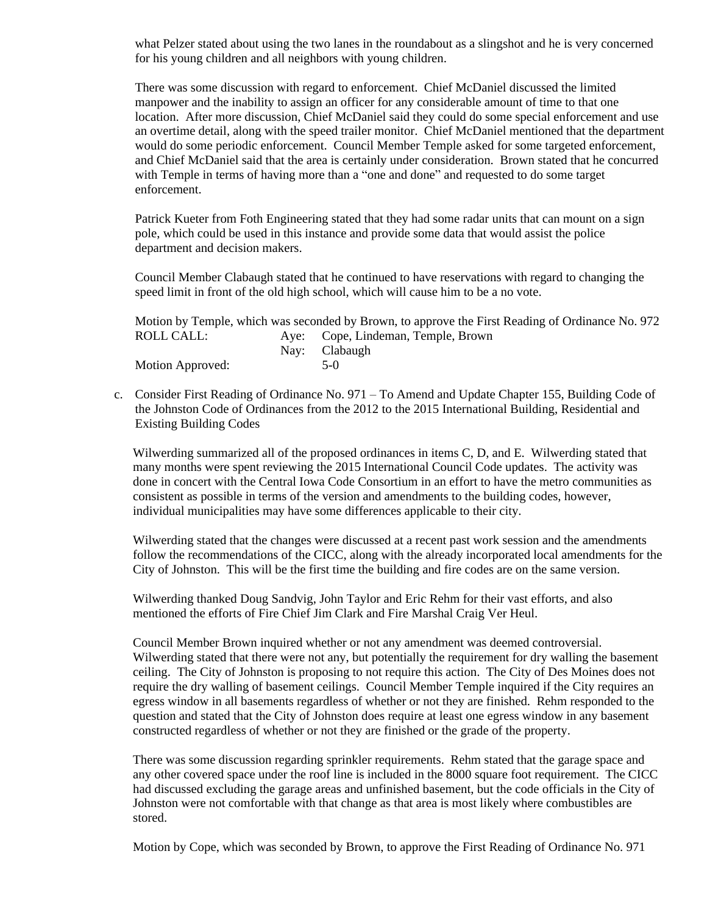what Pelzer stated about using the two lanes in the roundabout as a slingshot and he is very concerned for his young children and all neighbors with young children.

There was some discussion with regard to enforcement. Chief McDaniel discussed the limited manpower and the inability to assign an officer for any considerable amount of time to that one location. After more discussion, Chief McDaniel said they could do some special enforcement and use an overtime detail, along with the speed trailer monitor. Chief McDaniel mentioned that the department would do some periodic enforcement. Council Member Temple asked for some targeted enforcement, and Chief McDaniel said that the area is certainly under consideration. Brown stated that he concurred with Temple in terms of having more than a "one and done" and requested to do some target enforcement.

Patrick Kueter from Foth Engineering stated that they had some radar units that can mount on a sign pole, which could be used in this instance and provide some data that would assist the police department and decision makers.

Council Member Clabaugh stated that he continued to have reservations with regard to changing the speed limit in front of the old high school, which will cause him to be a no vote.

|                  | Motion by Temple, which was seconded by Brown, to approve the First Reading of Ordinance No. 972 |
|------------------|--------------------------------------------------------------------------------------------------|
| ROLL CALL:       | Aye: Cope, Lindeman, Temple, Brown                                                               |
|                  | Nay: Clabaugh                                                                                    |
| Motion Approved: | 5-0                                                                                              |

c. Consider First Reading of Ordinance No. 971 – To Amend and Update Chapter 155, Building Code of the Johnston Code of Ordinances from the 2012 to the 2015 International Building, Residential and Existing Building Codes

Wilwerding summarized all of the proposed ordinances in items C, D, and E. Wilwerding stated that many months were spent reviewing the 2015 International Council Code updates. The activity was done in concert with the Central Iowa Code Consortium in an effort to have the metro communities as consistent as possible in terms of the version and amendments to the building codes, however, individual municipalities may have some differences applicable to their city.

Wilwerding stated that the changes were discussed at a recent past work session and the amendments follow the recommendations of the CICC, along with the already incorporated local amendments for the City of Johnston. This will be the first time the building and fire codes are on the same version.

Wilwerding thanked Doug Sandvig, John Taylor and Eric Rehm for their vast efforts, and also mentioned the efforts of Fire Chief Jim Clark and Fire Marshal Craig Ver Heul.

Council Member Brown inquired whether or not any amendment was deemed controversial. Wilwerding stated that there were not any, but potentially the requirement for dry walling the basement ceiling. The City of Johnston is proposing to not require this action. The City of Des Moines does not require the dry walling of basement ceilings. Council Member Temple inquired if the City requires an egress window in all basements regardless of whether or not they are finished. Rehm responded to the question and stated that the City of Johnston does require at least one egress window in any basement constructed regardless of whether or not they are finished or the grade of the property.

There was some discussion regarding sprinkler requirements. Rehm stated that the garage space and any other covered space under the roof line is included in the 8000 square foot requirement. The CICC had discussed excluding the garage areas and unfinished basement, but the code officials in the City of Johnston were not comfortable with that change as that area is most likely where combustibles are stored.

Motion by Cope, which was seconded by Brown, to approve the First Reading of Ordinance No. 971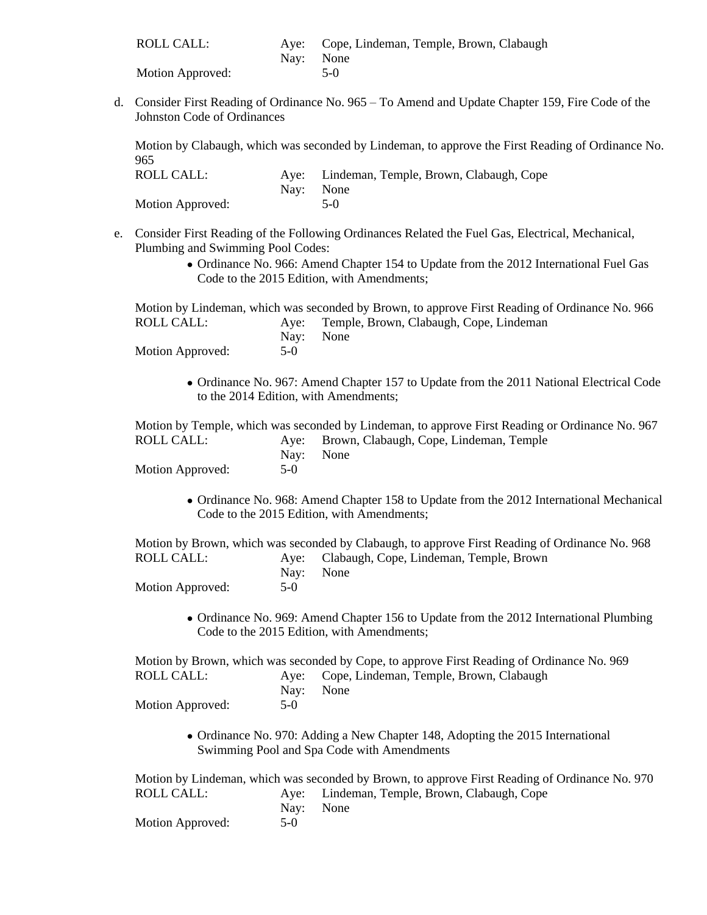| ROLL CALL:       | Aye: Cope, Lindeman, Temple, Brown, Clabaugh |
|------------------|----------------------------------------------|
|                  | Nav: None                                    |
| Motion Approved: | $5-0$                                        |

d. Consider First Reading of Ordinance No. 965 – To Amend and Update Chapter 159, Fire Code of the Johnston Code of Ordinances

Motion by Clabaugh, which was seconded by Lindeman, to approve the First Reading of Ordinance No. 965

| ROLL CALL:       | Aye: Lindeman, Temple, Brown, Clabaugh, Cope |
|------------------|----------------------------------------------|
|                  | Nav: None                                    |
| Motion Approved: | $5-0$                                        |

- e. Consider First Reading of the Following Ordinances Related the Fuel Gas, Electrical, Mechanical, Plumbing and Swimming Pool Codes:
	- Ordinance No. 966: Amend Chapter 154 to Update from the 2012 International Fuel Gas Code to the 2015 Edition, with Amendments;

Motion by Lindeman, which was seconded by Brown, to approve First Reading of Ordinance No. 966 ROLL CALL: Aye: Temple, Brown, Clabaugh, Cope, Lindeman Nay: None Motion Approved: 5-0

 Ordinance No. 967: Amend Chapter 157 to Update from the 2011 National Electrical Code to the 2014 Edition, with Amendments;

Motion by Temple, which was seconded by Lindeman, to approve First Reading or Ordinance No. 967 ROLL CALL: Aye: Brown, Clabaugh, Cope, Lindeman, Temple Nay: None<br>5-0 Motion Approved:

• Ordinance No. 968: Amend Chapter 158 to Update from the 2012 International Mechanical Code to the 2015 Edition, with Amendments;

Motion by Brown, which was seconded by Clabaugh, to approve First Reading of Ordinance No. 968 ROLL CALL: Aye: Clabaugh, Cope, Lindeman, Temple, Brown Nay: None<br>5-0 Motion Approved:

• Ordinance No. 969: Amend Chapter 156 to Update from the 2012 International Plumbing Code to the 2015 Edition, with Amendments;

Motion by Brown, which was seconded by Cope, to approve First Reading of Ordinance No. 969 ROLL CALL: Aye: Cope, Lindeman, Temple, Brown, Clabaugh Nay: None Motion Approved: 5-0

> • Ordinance No. 970: Adding a New Chapter 148, Adopting the 2015 International Swimming Pool and Spa Code with Amendments

Motion by Lindeman, which was seconded by Brown, to approve First Reading of Ordinance No. 970 ROLL CALL: Aye: Lindeman, Temple, Brown, Clabaugh, Cope Nay: None<br>5-0 Motion Approved: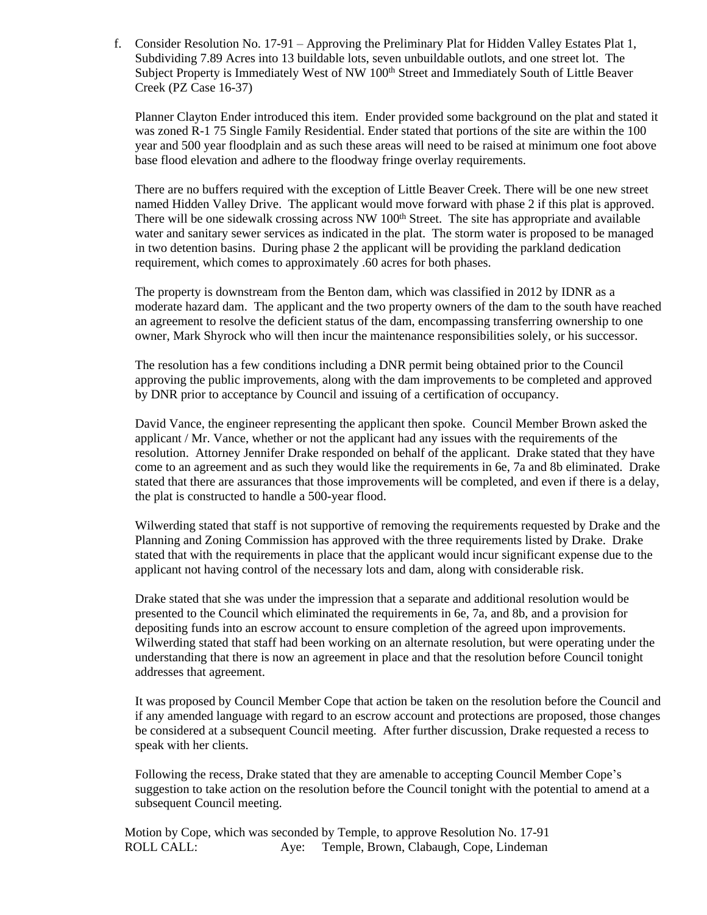f. Consider Resolution No. 17-91 – Approving the Preliminary Plat for Hidden Valley Estates Plat 1, Subdividing 7.89 Acres into 13 buildable lots, seven unbuildable outlots, and one street lot. The Subject Property is Immediately West of NW 100<sup>th</sup> Street and Immediately South of Little Beaver Creek (PZ Case 16-37)

Planner Clayton Ender introduced this item. Ender provided some background on the plat and stated it was zoned R-1 75 Single Family Residential. Ender stated that portions of the site are within the 100 year and 500 year floodplain and as such these areas will need to be raised at minimum one foot above base flood elevation and adhere to the floodway fringe overlay requirements.

There are no buffers required with the exception of Little Beaver Creek. There will be one new street named Hidden Valley Drive. The applicant would move forward with phase 2 if this plat is approved. There will be one sidewalk crossing across NW  $100<sup>th</sup>$  Street. The site has appropriate and available water and sanitary sewer services as indicated in the plat. The storm water is proposed to be managed in two detention basins. During phase 2 the applicant will be providing the parkland dedication requirement, which comes to approximately .60 acres for both phases.

The property is downstream from the Benton dam, which was classified in 2012 by IDNR as a moderate hazard dam. The applicant and the two property owners of the dam to the south have reached an agreement to resolve the deficient status of the dam, encompassing transferring ownership to one owner, Mark Shyrock who will then incur the maintenance responsibilities solely, or his successor.

The resolution has a few conditions including a DNR permit being obtained prior to the Council approving the public improvements, along with the dam improvements to be completed and approved by DNR prior to acceptance by Council and issuing of a certification of occupancy.

David Vance, the engineer representing the applicant then spoke. Council Member Brown asked the applicant / Mr. Vance, whether or not the applicant had any issues with the requirements of the resolution. Attorney Jennifer Drake responded on behalf of the applicant. Drake stated that they have come to an agreement and as such they would like the requirements in 6e, 7a and 8b eliminated. Drake stated that there are assurances that those improvements will be completed, and even if there is a delay, the plat is constructed to handle a 500-year flood.

Wilwerding stated that staff is not supportive of removing the requirements requested by Drake and the Planning and Zoning Commission has approved with the three requirements listed by Drake. Drake stated that with the requirements in place that the applicant would incur significant expense due to the applicant not having control of the necessary lots and dam, along with considerable risk.

Drake stated that she was under the impression that a separate and additional resolution would be presented to the Council which eliminated the requirements in 6e, 7a, and 8b, and a provision for depositing funds into an escrow account to ensure completion of the agreed upon improvements. Wilwerding stated that staff had been working on an alternate resolution, but were operating under the understanding that there is now an agreement in place and that the resolution before Council tonight addresses that agreement.

It was proposed by Council Member Cope that action be taken on the resolution before the Council and if any amended language with regard to an escrow account and protections are proposed, those changes be considered at a subsequent Council meeting. After further discussion, Drake requested a recess to speak with her clients.

Following the recess, Drake stated that they are amenable to accepting Council Member Cope's suggestion to take action on the resolution before the Council tonight with the potential to amend at a subsequent Council meeting.

Motion by Cope, which was seconded by Temple, to approve Resolution No. 17-91 ROLL CALL: Aye: Temple, Brown, Clabaugh, Cope, Lindeman